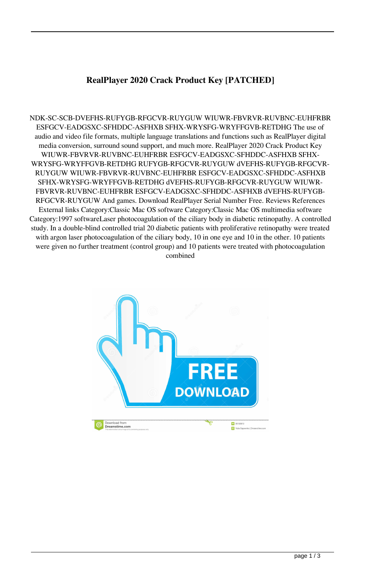## **RealPlayer 2020 Crack Product Key [PATCHED]**

NDK-SC-SCB-DVEFHS-RUFYGB-RFGCVR-RUYGUW WIUWR-FBVRVR-RUVBNC-EUHFRBR ESFGCV-EADGSXC-SFHDDC-ASFHXB SFHX-WRYSFG-WRYFFGVB-RETDHG The use of audio and video file formats, multiple language translations and functions such as RealPlayer digital media conversion, surround sound support, and much more. RealPlayer 2020 Crack Product Key WIUWR-FBVRVR-RUVBNC-EUHFRBR ESFGCV-EADGSXC-SFHDDC-ASFHXB SFHX-WRYSFG-WRYFFGVB-RETDHG RUFYGB-RFGCVR-RUYGUW dVEFHS-RUFYGB-RFGCVR-RUYGUW WIUWR-FBVRVR-RUVBNC-EUHFRBR ESFGCV-EADGSXC-SFHDDC-ASFHXB SFHX-WRYSFG-WRYFFGVB-RETDHG dVEFHS-RUFYGB-RFGCVR-RUYGUW WIUWR-FBVRVR-RUVBNC-EUHFRBR ESFGCV-EADGSXC-SFHDDC-ASFHXB dVEFHS-RUFYGB-RFGCVR-RUYGUW And games. Download RealPlayer Serial Number Free. Reviews References External links Category:Classic Mac OS software Category:Classic Mac OS multimedia software Category:1997 softwareLaser photocoagulation of the ciliary body in diabetic retinopathy. A controlled study. In a double-blind controlled trial 20 diabetic patients with proliferative retinopathy were treated with argon laser photocoagulation of the ciliary body, 10 in one eye and 10 in the other. 10 patients were given no further treatment (control group) and 10 patients were treated with photocoagulation combined

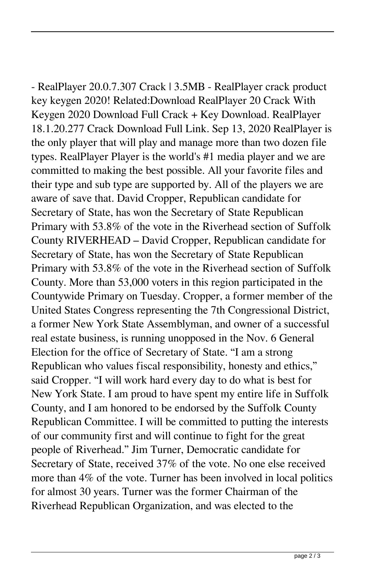- RealPlayer 20.0.7.307 Crack | 3.5MB - RealPlayer crack product key keygen 2020! Related:Download RealPlayer 20 Crack With Keygen 2020 Download Full Crack + Key Download. RealPlayer 18.1.20.277 Crack Download Full Link. Sep 13, 2020 RealPlayer is the only player that will play and manage more than two dozen file types. RealPlayer Player is the world's #1 media player and we are committed to making the best possible. All your favorite files and their type and sub type are supported by. All of the players we are aware of save that. David Cropper, Republican candidate for Secretary of State, has won the Secretary of State Republican Primary with 53.8% of the vote in the Riverhead section of Suffolk County RIVERHEAD – David Cropper, Republican candidate for Secretary of State, has won the Secretary of State Republican Primary with 53.8% of the vote in the Riverhead section of Suffolk County. More than 53,000 voters in this region participated in the Countywide Primary on Tuesday. Cropper, a former member of the United States Congress representing the 7th Congressional District, a former New York State Assemblyman, and owner of a successful real estate business, is running unopposed in the Nov. 6 General Election for the office of Secretary of State. "I am a strong Republican who values fiscal responsibility, honesty and ethics," said Cropper. "I will work hard every day to do what is best for New York State. I am proud to have spent my entire life in Suffolk County, and I am honored to be endorsed by the Suffolk County Republican Committee. I will be committed to putting the interests of our community first and will continue to fight for the great people of Riverhead." Jim Turner, Democratic candidate for Secretary of State, received 37% of the vote. No one else received more than 4% of the vote. Turner has been involved in local politics for almost 30 years. Turner was the former Chairman of the Riverhead Republican Organization, and was elected to the